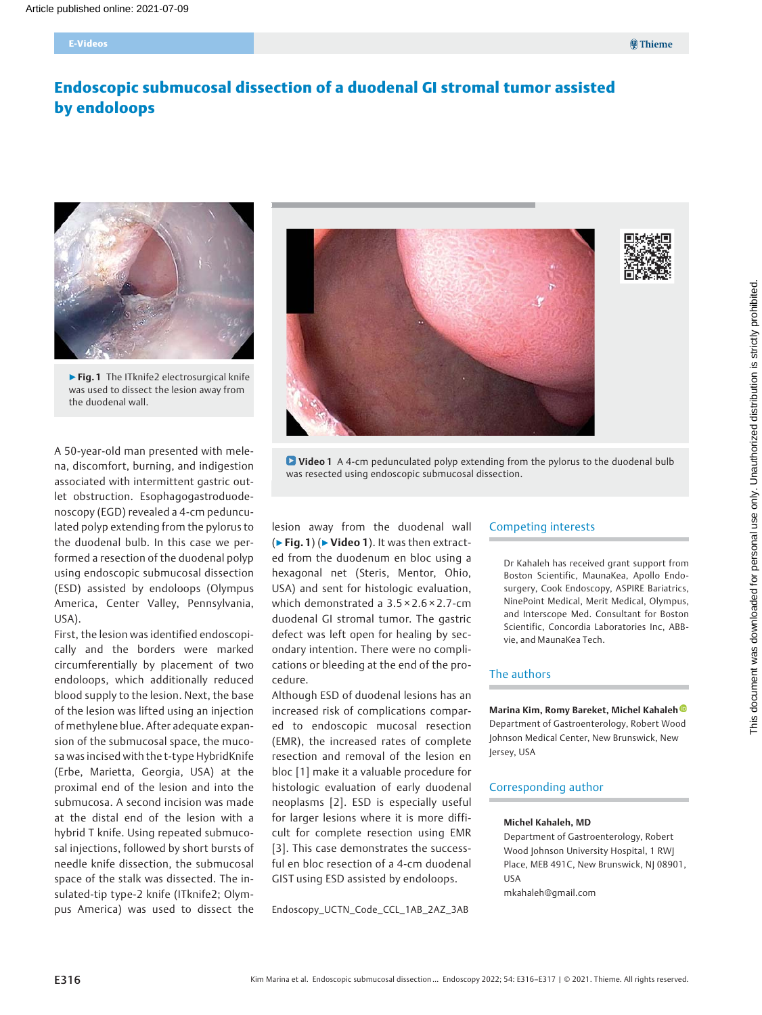# Endoscopic submucosal dissection of a duodenal GI stromal tumor assisted by endoloops



▶ Fig. 1 The ITknife2 electrosurgical knife was used to dissect the lesion away from the duodenal wall.

A 50-year-old man presented with melena, discomfort, burning, and indigestion associated with intermittent gastric outlet obstruction. Esophagogastroduodenoscopy (EGD) revealed a 4-cm pedunculated polyp extending from the pylorus to the duodenal bulb. In this case we performed a resection of the duodenal polyp using endoscopic submucosal dissection (ESD) assisted by endoloops (Olympus America, Center Valley, Pennsylvania, USA).

First, the lesion was identified endoscopically and the borders were marked circumferentially by placement of two endoloops, which additionally reduced blood supply to the lesion. Next, the base of the lesion was lifted using an injection of methylene blue. After adequate expansion of the submucosal space, the mucosa was incised with the t-type HybridKnife (Erbe, Marietta, Georgia, USA) at the proximal end of the lesion and into the submucosa. A second incision was made at the distal end of the lesion with a hybrid T knife. Using repeated submucosal injections, followed by short bursts of needle knife dissection, the submucosal space of the stalk was dissected. The insulated-tip type-2 knife (ITknife2; Olympus America) was used to dissect the





**D** Video 1 A 4-cm pedunculated polyp extending from the pylorus to the duodenal bulb was resected using endoscopic submucosal dissection.

lesion away from the duodenal wall (▶Fig. 1) (▶Video 1). It was then extracted from the duodenum en bloc using a hexagonal net (Steris, Mentor, Ohio, USA) and sent for histologic evaluation, which demonstrated a 3.5 × 2.6 × 2.7-cm duodenal GI stromal tumor. The gastric defect was left open for healing by secondary intention. There were no complications or bleeding at the end of the procedure.

Although ESD of duodenal lesions has an increased risk of complications compared to endoscopic mucosal resection (EMR), the increased rates of complete resection and removal of the lesion en bloc [1] make it a valuable procedure for histologic evaluation of early duodenal neoplasms [2]. ESD is especially useful for larger lesions where it is more difficult for complete resection using EMR [3]. This case demonstrates the successful en bloc resection of a 4-cm duodenal GIST using ESD assisted by endoloops.

Endoscopy\_UCTN\_Code\_CCL\_1AB\_2AZ\_3AB

#### Competing interests

Dr Kahaleh has received grant support from Boston Scientific, MaunaKea, Apollo Endosurgery, Cook Endoscopy, ASPIRE Bariatrics, NinePoint Medical, Merit Medical, Olympus, and Interscope Med. Consultant for Boston Scientific, Concordia Laboratories Inc, ABBvie, and MaunaKea Tech.

#### The authors

Marina Kim, Romy Bareket, Michel Kahaleh

Department of Gastroenterology, Robert Wood Johnson Medical Center, New Brunswick, New Jersey, USA

### Corresponding author

#### Michel Kahaleh, MD

Department of Gastroenterology, Robert Wood Johnson University Hospital, 1 RWJ Place, MEB 491C, New Brunswick, NJ 08901, USA mkahaleh@gmail.com